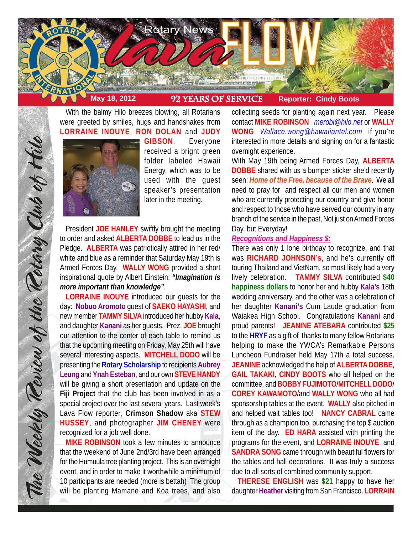

With the balmy Hilo breezes blowing, all Rotarians were greeted by smiles, hugs and handshakes from **LORRAINE INOUYE**, **RON DOLAN** and **JUDY**



**GIBSON**. Everyone received a bright green folder labeled Hawaii Energy, which was to be used with the guest speaker's presentation later in the meeting.

President **JOE HANLEY** swiftly brought the meeting to order and asked **ALBERTA DOBBE** to lead us in the Pledge. **ALBERTA** was patriotically attired in her red/ white and blue as a reminder that Saturday May 19th is Armed Forces Day. **WALLY WONG** provided a short inspirational quote by Albert Einstein: *"Imagination is more important than knowledge"*.

**LORRAINE INOUYE** introduced our guests for the day: **Nobuo Aromoto** guest of **SAEKO HAYASHI**, and new member **TAMMY SILVA** introduced her hubby **Kala**, and daughter **Kanani** as her guests. Prez, **JOE** brought our attention to the center of each table to remind us that the upcoming meeting on Friday, May 25th will have several interesting aspects. **MITCHELL DODO** will be presenting the **Rotary Scholarship** to recipients **Aubrey Leung** and **Ynah Esteban**, and our own **STEVE HANDY** will be giving a short presentation and update on the **Fiji Project** that the club has been involved in as a special project over the last several years. Last week's Lava Flow reporter, **Crimson Shadow** aka **STEW HUSSEY**, and photographer **JIM CHENEY** were recognized for a job well done.

**MIKE ROBINSON** took a few minutes to announce that the weekend of June 2nd/3rd have been arranged for the Humuula tree planting project. This is an overnight event, and in order to make it worthwhile a minimum of 10 participants are needed (more is bettah) The group will be planting Mamane and Koa trees, and also

collecting seeds for planting again next year. Please contact **MIKE ROBINSON** *merobi@hilo.net* or **WALLY WONG** *Wallace.wong@hawaiiantel.com* if you're interested in more details and signing on for a fantastic overnight experience.

With May 19th being Armed Forces Day, **ALBERTA DOBBE** shared with us a bumper sticker she'd recently seen: *Home of the Free, because of the Brave*. We all need to pray for and respect all our men and women who are currently protecting our country and give honor and respect to those who have served our country in any branch of the service in the past, Not just on Armed Forces Day, but Everyday!

# *Recognitions and Happiness \$:*

There was only 1 lone birthday to recognize, and that was **RICHARD JOHNSON's**, and he's currently off touring Thailand and VietNam, so most likely had a very lively celebration. **TAMMY SILVA** contributed **\$40 happiness dollars** to honor her and hubby **Kala's** 18th wedding anniversary, and the other was a celebration of her daughter **Kanani's** Cum Laude graduation from Waiakea High School. Congratulations **Kanani** and proud parents! **JEANINE ATEBARA** contributed **\$25** to the **HRYF** as a gift of thanks to many fellow Rotarians helping to make the YWCA's Remarkable Persons Luncheon Fundraiser held May 17th a total success. **JEANINE** acknowledged the help of **ALBERTA DOBBE**, **GAIL TAKAKI**, **CINDY BOOTS** who all helped on the committee, and **BOBBY FUJIMOTO**/**MITCHELL DODO**/ **COREY KAWAMOTO**/and **WALLY WONG** who all had sponsorship tables at the event. **WALLY** also pitched in and helped wait tables too! **NANCY CABRAL** came through as a champion too, purchasing the top \$ auction item of the day. **ED HARA** assisted with printing the programs for the event, and **LORRAINE INOUYE** and **SANDRA SONG** came through with beautiful flowers for the tables and hall decorations. It was truly a success due to all sorts of combined community support.

 **THERESE ENGLISH** was **\$21** happy to have her daughter **Heather** visiting from San Francisco. **LORRAIN**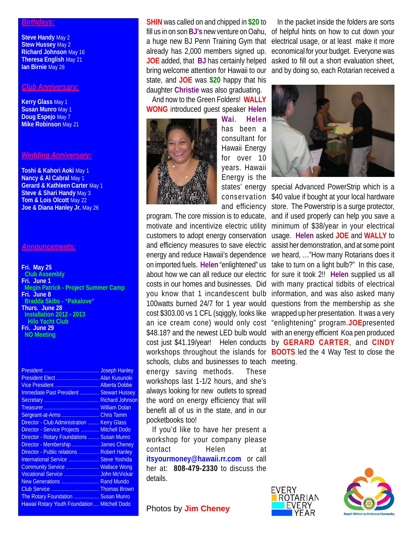#### *Birthdays:*

**Steve Handy** May 2 **Stew Hussey May 2 Richard Johnson** May 16 **Theresa English** May 21 **Ian Birnie** May 28

### *Club Anniversary:*

**Kerry Glass** May 1 **Susan Munro** May 1 **Doug Espejo** May 7 **Mike Robinson** May 21

## *Wedding Anniversary:*

**Toshi & Kahori Aoki** May 1 **Nancy & Al Cabral May 1 Gerard & Kathleen Carter** May 1 **Steve & Shari Handy** May 3 **Tom & Lois Olcott** May 22 **Joe & Diana Hanley Jr.** May 26

#### *Announcements:*

**Fri. May 25 Club Assembly Fri. June 1 Megin Patrick - Project Summer Camp Fri. June 8 Bradda Skibs - "Pakalove" Thurs. June 28 Installation 2012 - 2013 Hilo Yacht Club Fri. June 29 NO Meeting**

|                                                 | <b>Joseph Hanley</b> |
|-------------------------------------------------|----------------------|
|                                                 | <b>Alan Kusunoki</b> |
| Vice President  Alberta Dobbe                   |                      |
| <b>Immediate Past President  Stewart Hussey</b> |                      |
|                                                 |                      |
|                                                 | <b>William Dolan</b> |
| Sergeant-at-Arms                                | <b>Chris Tamm</b>    |
| Director - Club Administration                  | <b>Kerry Glass</b>   |
| Director - Service Projects                     | <b>Mitchell Dodo</b> |
| Director - Rotary Foundations                   | <b>Susan Munro</b>   |
| Director - Membership  James Cheney             |                      |
| Director - Public relations  Robert Hanley      |                      |
| International Service  Steve Yoshida            |                      |
| Community Service                               | <b>Wallace Wong</b>  |
| Vocational Service  John McVickar               |                      |
| New Generations  Rand Mundo                     |                      |
|                                                 |                      |
| The Rotary Foundation  Susan Munro              |                      |
| Hawaii Rotary Youth Foundation  Mitchell Dodo   |                      |

**SHIN** was called on and chipped in **\$20** to fill us in on son **BJ's** new venture on Oahu, a huge new BJ Penn Training Gym that already has 2,000 members signed up. **JOE** added, that **BJ** has certainly helped bring welcome attention for Hawaii to our state, and **JOE** was **\$20** happy that his daughter **Christie** was also graduating.

And now to the Green Folders! **WALLY WONG** introduced guest speaker **Helen**



**Wai**. **Helen** has been a consultant for Hawaii Energy for over 10 years. Hawaii Energy is the

schools, clubs and businesses to teach meeting.energy saving methods. These workshops last 1-1/2 hours, and she's always looking for new outlets to spread the word on energy efficiency that will benefit all of us in the state, and in our pocketbooks too!

If you'd like to have her present a workshop for your company please contact Helen at **itsyourmoney@hawaii.rr.com** or call her at: **808-479-2330** to discuss the details.

**Photos by Jim Cheney** 

In the packet inside the folders are sorts of helpful hints on how to cut down your electrical usage, or at least make it more economical for your budget. Everyone was asked to fill out a short evaluation sheet, and by doing so, each Rotarian received a



states' energy special Advanced PowerStrip which is a conservation \$40 value if bought at your local hardware and efficiency store. The Powerstrip is a surge protector, program. The core mission is to educate, and if used properly can help you save a motivate and incentivize electric utility minimum of \$38/year in your electrical customers to adopt energy conservation usage. **Helen** asked **JOE** and **WALLY** to and efficiency measures to save electric assist her demonstration, and at some point energy and reduce Hawaii's dependence we heard, ..."How many Rotarians does it on imported fuels. **Helen** "enlightened" us take to turn on a light bulb?" In this case, about how we can all reduce our electric for sure it took 2!! **Helen** supplied us all costs in our homes and businesses. Did with many practical tidbits of electrical you know that 1 incandescent bulb information, and was also asked many 100watts burned 24/7 for 1 year would questions from the membership as she cost \$303.00 vs 1 CFL (sqiggly, looks like wrapped up her presentation. It was a very an ice cream cone) would only cost "enlightening" program.**JOE**presented \$48.18? and the newest LED bulb would with an energy efficient Koa pen produced cost just \$41.19/year! Helen conducts by **GERARD CARTER**, and **CINDY** workshops throughout the islands for **BOOTS** led the 4 Way Test to close the